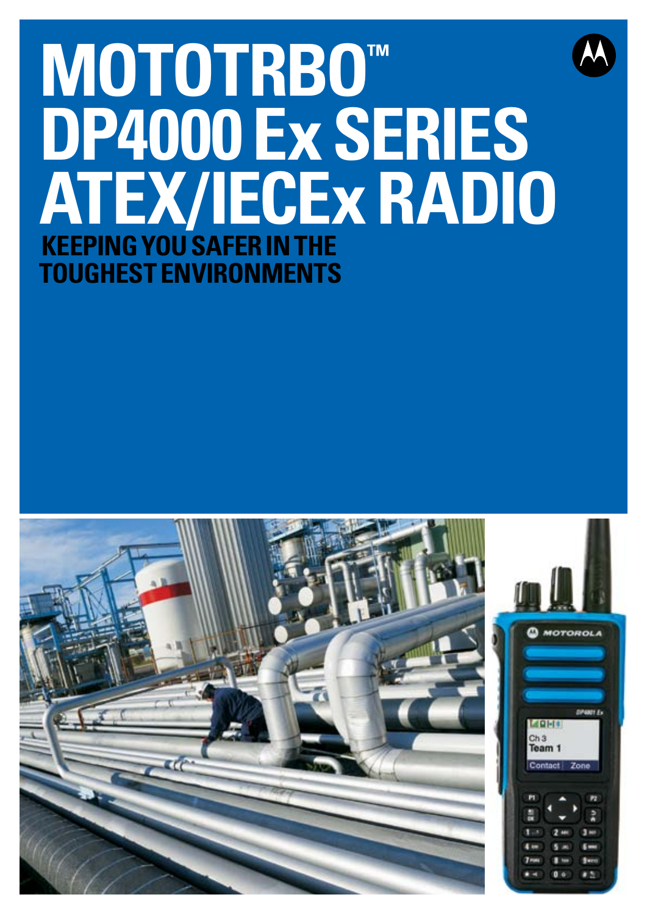# **MOTOTRBO™ DP4000 Ex SERIES ATEX/IECExRADIO Keeping you safer in the toughest environments**

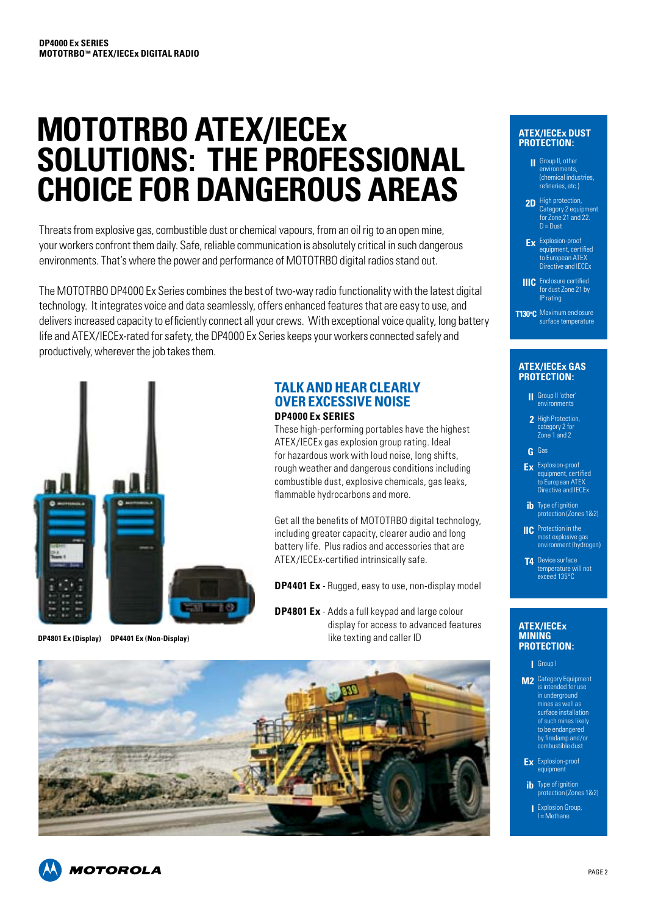# **MOTOTRBO ATEX/IECEx SOLUTIONS: THE PROFESSIONAL CHOICE FOR DANGEROUS AREAS**

Threats from explosive gas, combustible dust or chemical vapours, from an oil rig to an open mine, your workers confront them daily. Safe, reliable communication is absolutely critical in such dangerous environments. That's where the power and performance of MOTOTRBO digital radios stand out.

The MOTOTRBO DP4000 Ex Series combines the best of two-way radio functionality with the latest digital technology. It integrates voice and data seamlessly, offers enhanced features that are easy to use, and delivers increased capacity to efficiently connect all your crews. With exceptional voice quality, long battery life and ATEX/IECEx-rated for safety, the DP4000 Ex Series keeps your workers connected safely and productively, wherever the job takes them.



# **TALK AND HEAR CLEARLY OVER EXCESSIVE NOISE DP4000 Ex SERIES**

These high-performing portables have the highest ATEX/IECEx gas explosion group rating. Ideal for hazardous work with loud noise, long shifts, rough weather and dangerous conditions including combustible dust, explosive chemicals, gas leaks, flammable hydrocarbons and more.

Get all the benefits of MOTOTRBO digital technology, including greater capacity, clearer audio and long battery life. Plus radios and accessories that are ATEX/IECEx-certified intrinsically safe.

**DP4401 Ex** - Rugged, easy to use, non-display model

**DP4801 Ex** - Adds a full keypad and large colour display for access to advanced features **DP4801 Ex (Display) DP4401 Ex (Non-Display)** like texting and caller ID



#### **ATEX/IECEx dust protection:**

Group II, other **II** environments, (chemical industries, refineries, etc.)

2D High protection, .<br>egory 2 equipment for Zone 21 and 22. D = Dust

Explosion-proof **Ex** equipment, certified to European ATEX Directive and IECEx

Enclosure certified for dust Zone 21 by **IIIC** IP rating

T130°C Maximum enclosure surface temperature

#### **ATEX/IECEx gas protection:**

- Group II 'other' **II** environments
- 2 High Protection, category 2 for Zone 1 and 2
- Gas **G**
- Explosion-proof **Ex** equipment, certified to European ATEX Directive and **IECE**<sub>x</sub>
- **ib** Type of ignition<br>| protection (Zones 1&2)
- **IIC** Protection in the most explosive gas environment (hydrogen)
- **T4** Device surface temperature will not exceed 135°C

#### **ATEX/IECEx mining protection:**

- Group I **I**
- **M2** Category Equipment is intended for use in underground mines as well as surface installation of such mines likely to be endangered by firedamp and/o $\frac{1}{2}$ combustible dust
- Explosion-proof **Ex** equipment
- Type of ignition protection (Zones 1&2) **ib**
- Explosion Group, **I** I = Methane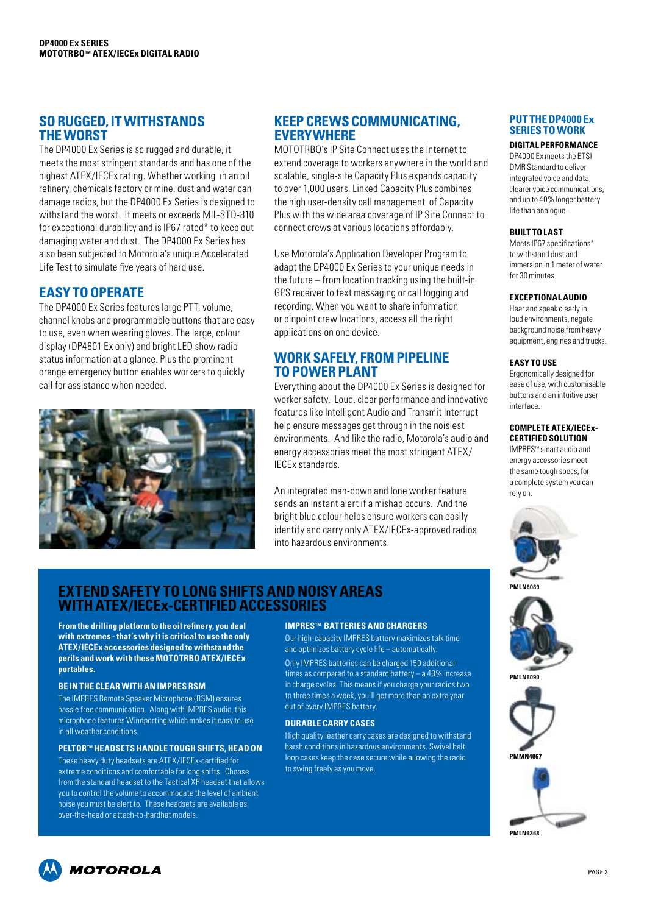# **SORUGGED, IT WITHSTANDS THE WORST**

The DP4000 Ex Series is so rugged and durable, it meets the most stringent standards and has one of the highest ATEX/IECEx rating. Whether working in an oil refinery, chemicals factory or mine, dust and water can damage radios, but the DP4000 Ex Series is designed to withstand the worst. It meets or exceeds MIL-STD-810 for exceptional durability and is IP67 rated\* to keep out damaging water and dust. The DP4000 Ex Series has also been subjected to Motorola's unique Accelerated Life Test to simulate five years of hard use.

# **EASY TO OPERATE**

The DP4000 Ex Series features large PTT, volume, channel knobs and programmable buttons that are easy to use, even when wearing gloves. The large, colour display (DP4801 Ex only) and bright LED show radio status information at a glance. Plus the prominent orange emergency button enables workers to quickly call for assistance when needed.



# **KEEP CREWS COMMUNICATING, EVERYWHERE**

MOTOTRBO's IP Site Connect uses the Internet to extend coverage to workers anywhere in the world and scalable, single-site Capacity Plus expands capacity to over 1,000 users. Linked Capacity Plus combines the high user-density call management of Capacity Plus with the wide area coverage of IP Site Connect to connect crews at various locations affordably.

Use Motorola's Application Developer Program to adapt the DP4000 Ex Series to your unique needs in the future – from location tracking using the built-in GPS receiver to text messaging or call logging and recording. When you want to share information or pinpoint crew locations, access all the right applications on one device.

# **WORK SAFELY, FROM PIPELINE TO POWER PLANT**

Everything about the DP4000 Ex Series is designed for worker safety. Loud, clear performance and innovative features like Intelligent Audio and Transmit Interrupt help ensure messages get through in the noisiest environments. And like the radio, Motorola's audio and energy accessories meet the most stringent ATEX/ IECEx standards.

An integrated man-down and lone worker feature sends an instant alert if a mishap occurs. And the bright blue colour helps ensure workers can easily identify and carry only ATEX/IECEx-approved radios into hazardous environments.

## **PUT THE DP4000 Ex SERIES TO WORK**

**DIGITAL PERFORMANCE** DP4000 Ex meets the ETSI DMR Standard to deliver integrated voice and data, clearer voice communications, and up to 40% longer battery life than analogue.

#### **BUILT TO LAST**

Meets IP67 specifications\* to withstand dust and immersion in 1 meter of water for 30 minutes.

#### **EXCEPTIONAL AUDIO**

Hear and speak clearly in loud environments, negate background noise from heavy equipment, engines and trucks.

#### **EASY TO USE**

Ergonomically designed for ease of use, with customisable buttons and an intuitive user interface.

#### **COMPLETE ATEX/IECEx-CERTIFIED SOLUTION**

IMPRES™ smart audio and energy accessories meet the same tough specs, for a complete system you can rely on.



**PMLN6089**







**EXTEND SAFETY TOLONG SHIFTS AND NOISY AREAS WITH ATEX/IECEx-CERTIFIED ACCESSORIES**

**From the drilling platform to the oil refinery, you deal with extremes - that's why it is critical to use the only ATEX/IECEx accessories designed to withstand the perils and work with these MOTOTRBO ATEX/IECEx portables.** 

#### **BE IN THE CLEAR WITH AN IMPRES RSM**

The IMPRES Remote Speaker Microphone (RSM) ensures hassle free communication. Along with IMPRES audio, this microphone features Windporting which makes it easy to use in all weather conditions.

### **PELTOR™ HEADSETS HANDLE TOUGH SHIFTS, HEAD ON**

These heavy duty headsets are ATEX/IECEx-certified for extreme conditions and comfortable for long shifts. Choose from the standard headset to the Tactical XP headset that allows you to control the volume to accommodate the level of ambient noise you must be alert to. These headsets are available as over-the-head or attach-to-hardhat models.

#### **IMPRES™ BATTERIES AND CHARGERS**

Our high-capacity IMPRES battery maximizes talk time and optimizes battery cycle life – automatically. Only IMPRES batteries can be charged 150 additional times as compared to a standard battery – a 43% increase in charge cycles. This means if you charge your radios two to three times a week, you'll get more than an extra year out of every IMPRES battery.

#### **DURABLE CARRY CASES**

High quality leather carry cases are designed to withstand harsh conditions in hazardous environments. Swivel belt loop cases keep the case secure while allowing the radio to swing freely as you move.